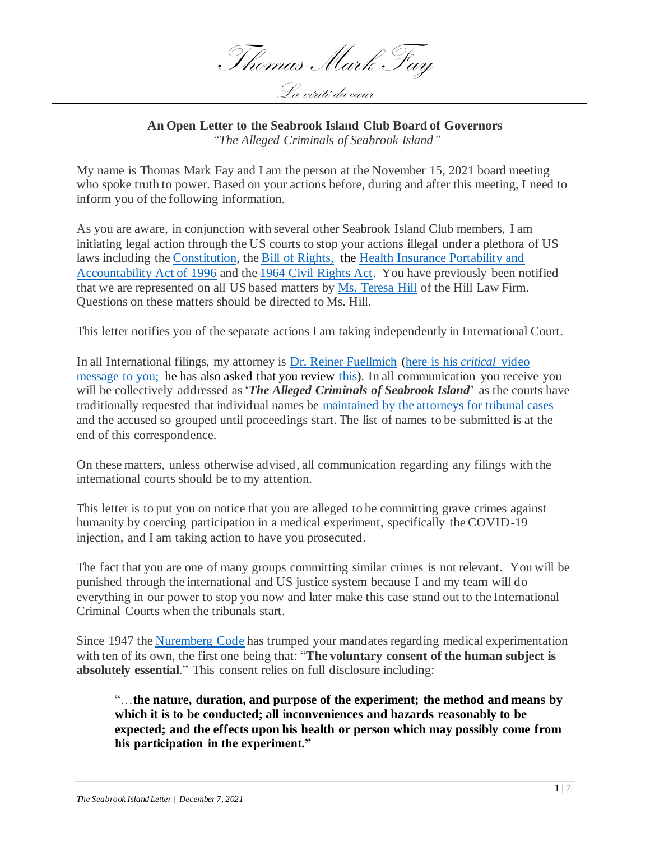Thomas Mark Fay La vérité du cœur

## **An Open Letter to the Seabrook Island Club Board of Governors** *"The Alleged Criminals of Seabrook Island"*

My name is Thomas Mark Fay and I am the person at the November 15, 2021 board meeting who spoke truth to power. Based on your actions before, during and after this meeting, I need to inform you of the following information.

As you are aware, in conjunction with several other Seabrook Island Club members, I am initiating legal action through the US courts to stop your actions illegal under a plethora of US laws including the [Constitution,](https://constitution.congress.gov/constitution/) th[e Bill of Rights,](https://www.law.cornell.edu/constitution/billofrights) the [Health Insurance Portability and](https://www.cdc.gov/phlp/publications/topic/hipaa.html)  [Accountability Act of 1996](https://www.cdc.gov/phlp/publications/topic/hipaa.html) and th[e 1964 Civil Rights Act.](https://www.eeoc.gov/statutes/title-vii-civil-rights-act-1964) You have previously been notified that we are represented on all US based matters by [Ms. Teresa Hill](https://hilllawfirm.attorney/) of the Hill Law Firm. Questions on these matters should be directed to Ms. Hill.

This letter notifies you of the separate actions I am taking independently in International Court.

In all International filings, my attorney is [Dr. Reiner Fuellmich](https://www.fuellmich.com/) [\(here is his](https://www.youtube.com/watch?v=V2YZAnKeGmM) *critical* video [message to you;](https://www.youtube.com/watch?v=V2YZAnKeGmM) he has also asked that you review [this\)](https://www.bitchute.com/video/vea4oV9dhJ9j/). In all communication you receive you will be collectively addressed as '*The Alleged Criminals of Seabrook Island*' as the courts have traditionally requested that individual names be [maintained by the attorneys for tribunal cases](https://www.icc-cpi.int/iccdocs/PIDS/legal-texts/RulesProcedureEvidenceEng.pdf) and the accused so grouped until proceedings start. The list of names to be submitted is at the end of this correspondence.

On these matters, unless otherwise advised, all communication regarding any filings with the international courts should be to my attention.

This letter is to put you on notice that you are alleged to be committing grave crimes against humanity by coercing participation in a medical experiment, specifically the COVID-19 injection, and I am taking action to have you prosecuted.

The fact that you are one of many groups committing similar crimes is not relevant. You will be punished through the international and US justice system because I and my team will do everything in our power to stop you now and later make this case stand out to the International Criminal Courts when the tribunals start.

Since 1947 th[e Nuremberg Code](https://research.unc.edu/human-research-ethics/resources/ccm3_019064/) has trumped your mandates regarding medical experimentation with ten of its own, the first one being that: "**The voluntary consent of the human subject is absolutely essential**." This consent relies on full disclosure including:

"…**the nature, duration, and purpose of the experiment; the method and means by which it is to be conducted; all inconveniences and hazards reasonably to be expected; and the effects upon his health or person which may possibly come from his participation in the experiment."**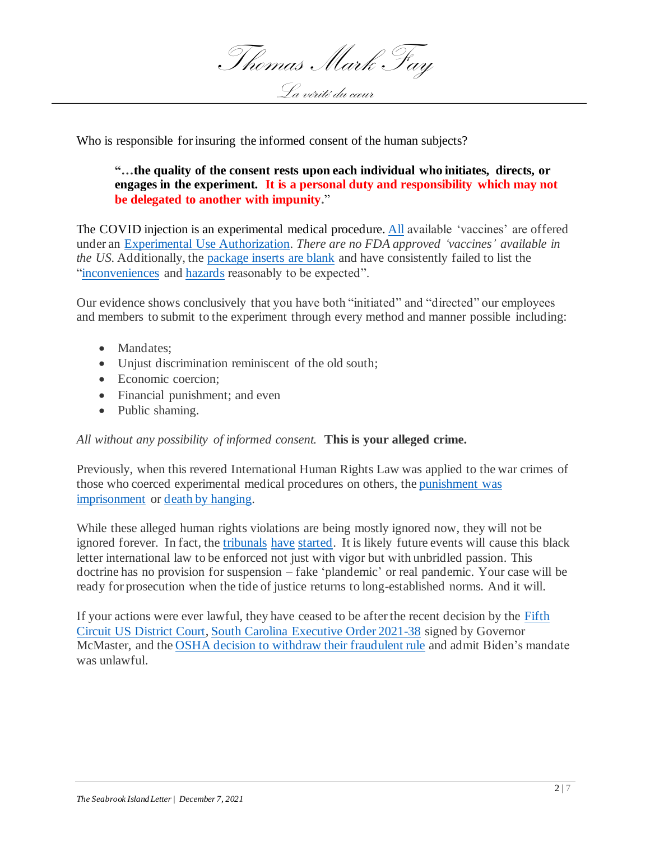

Who is responsible for insuring the informed consent of the human subjects?

**"…the quality of the consent rests upon each individual who initiates, directs, or engages in the experiment. It is a personal duty and responsibility which may not be delegated to another with impunity.**"

The COVID injection is an experimental medical procedure. [All](https://www.reuters.com/article/factcheck-covid-vaccines-idUSL1N2M70MW) available 'vaccines' are offered under an [Experimental Use Authorization.](https://www.fda.gov/vaccines-blood-biologics/vaccines/emergency-use-authorization-vaccines-explained) *There are no FDA approved 'vaccines' available in the US.* Additionally, th[e package inserts are blank](https://apnews.com/article/fact-checking-956865924140) and have consistently failed to list the ["inconveniences](https://rumble.com/vm936v-whistleblower-nurse-destroys-delta-narrative-vaccinated-patients-fill-hospt.html) and [hazards](https://www.cnet.com/health/parenting/covid-raises-risk-of-stillbirth-new-research-finds-what-to-know-about-vaccines-during-pregnancy/) reasonably to be expected".

Our evidence shows conclusively that you have both "initiated" and "directed" our employees and members to submit to the experiment through every method and manner possible including:

- Mandates:
- Unjust discrimination reminiscent of the old south;
- Economic coercion:
- Financial punishment; and even
- Public shaming.

## *All without any possibility of informed consent.* **This is your alleged crime.**

Previously, when this revered International Human Rights Law was applied to the war crimes of those who coerced experimental medical procedures on others, th[e punishment was](https://encyclopedia.ushmm.org/content/en/article/the-nuremberg-trials)  [imprisonment](https://encyclopedia.ushmm.org/content/en/article/the-nuremberg-trials) or [death by hanging.](https://encyclopedia.ushmm.org/content/en/article/the-nuremberg-trials)

While these alleged human rights violations are being mostly ignored now, they will not be ignored forever. In fact, the [tribunals](https://nurembergtrials.net/) [have](https://www.marktaliano.net/team-of-1000-lawyers-and-10000-medical-experts-start-nuremberg-2-trial-against-world-leaders-for-crimes-against-humanity/) [started.](https://www.nextbigfuture.com/2021/06/india-could-sentence-who-chief-scientist-to-death-for-misleading-over-ivermectin-and-killing-indians.html) It is likely future events will cause this black letter international law to be enforced not just with vigor but with unbridled passion. This doctrine has no provision for suspension – fake 'plandemic' or real pandemic. Your case will be ready for prosecution when the tide of justice returns to long-established norms. And it will.

If your actions were ever lawful, they have ceased to be after the recent decision by the [Fifth](https://www.ca5.uscourts.gov/opinions/pub/21/21-60845-CV0.pdf)  Circuit US [District Court,](https://www.ca5.uscourts.gov/opinions/pub/21/21-60845-CV0.pdf) South Carolina [Executive Order 2021-38](https://governor.sc.gov/sites/default/files/Documents/Executive-Orders/2021-11-04%20FINAL%20Executive%20Order%20No.%202021-38%20-%20Directive%20to%20Cooperate%20%20Assist%20with%20Litigation%20Challenging%20Vaccine%20Mandates%20%20Prohibition%20on%20Cabinet%20Agency%20Vaccine.pdf) signed by Governor McMaster, and the [OSHA decision to withdraw their fraudulent rule](https://www.osha.gov/coronavirus/ets2) and admit Biden's mandate was unlawful.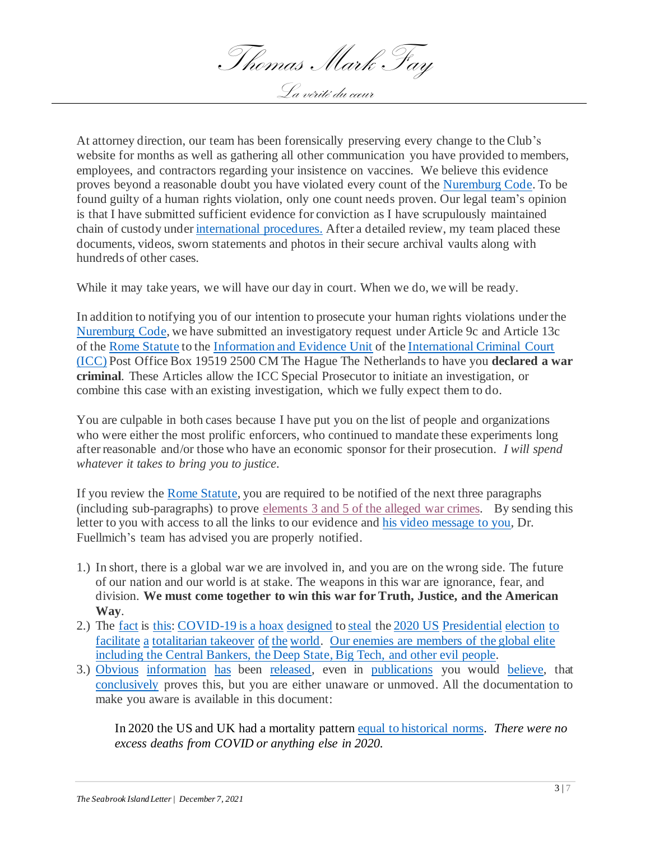Thomas Mark Fay La vérité du cœur

At attorney direction, our team has been forensically preserving every change to the Club's website for months as well as gathering all other communication you have provided to members, employees, and contractors regarding your insistence on vaccines. We believe this evidence proves beyond a reasonable doubt you have violated every count of th[e Nuremburg Code.](https://research.unc.edu/human-research-ethics/resources/ccm3_019064/) To be found guilty of a human rights violation, only one count needs proven. Our legal team's opinion is that I have submitted sufficient evidence for conviction as I have scrupulously maintained chain of custody unde[r international procedures.](https://www.icc-cpi.int/resource-library/Pages/core-legal-texts.aspx) After a detailed review, my team placed these documents, videos, sworn statements and photos in their secure archival vaults along with hundreds of other cases.

While it may take years, we will have our day in court. When we do, we will be ready.

In addition to notifying you of our intention to prosecute your human rights violations under the [Nuremburg Code,](https://research.unc.edu/human-research-ethics/resources/ccm3_019064/) we have submitted an investigatory request under Article 9c and Article 13c of the [Rome Statute](https://www.icc-cpi.int/Publications/Rome-Statute.pdf) to the [Information and Evidence Unit](https://otppathway.icc-cpi.int/index.html) of th[e International Criminal Court](https://www.icc-cpi.int/about/otp) [\(ICC\)](https://www.hrw.org/legacy/backgrounder/africa/icc0904/2.htm) Post Office Box 19519 2500 CM The Hague The Netherlands to have you **declared a war criminal**. These Articles allow the ICC Special Prosecutor to initiate an investigation, or combine this case with an existing investigation, which we fully expect them to do.

You are culpable in both cases because I have put you on the list of people and organizations who were either the most prolific enforcers, who continued to mandate these experiments long after reasonable and/or those who have an economic sponsor for their prosecution. *I will spend whatever it takes to bring you to justice.*

If you review the [Rome Statute,](https://www.icc-cpi.int/Publications/Rome-Statute.pdf) you are required to be notified of the next three paragraphs (including sub-paragraphs) to prove [elements 3 and 5 of the alleged war crimes.](https://www.icc-cpi.int/Publications/Elements-of-Crimes.pdf) By sending this letter to you with access to all the links to our evidence an[d his video message to you,](https://www.youtube.com/watch?v=V2YZAnKeGmM) Dr. Fuellmich's team has advised you are properly notified.

- 1.) In short, there is a global war we are involved in, and you are on the wrong side. The future of our nation and our world is at stake. The weapons in this war are ignorance, fear, and division. **We must come together to win this war for Truth, Justice, and the American Way**.
- 2.) The [fact](https://thereisnopandemic.net/) is [this: COVID-19 is a hoax](https://off-guardian.org/2021/09/22/30-facts-you-need-to-know-your-covid-cribsheet/) [designed](https://www.amazon.com/COVID-19-Great-Reset-Klaus-Schwab/dp/2940631123) to [steal](https://youtu.be/5EFi87edBok) th[e 2020 US](https://frankspeech.com/tv/video/dr-frank-displays-his-evidence-day-1-cyber-symposium-0) [Presidential](https://frankspeech.com/tv/video/captain-seth-keshel-presentation-day-2-cyber-symposium) [election](https://frankspeech.com/tv/video/scientific-proof-internationally-renowned-physicist-absolutely-proves-2020-election-was) [to](https://youtu.be/5EFi87edBok) [facilitate](https://www.amazon.com/COVID-19-Great-Reset-Klaus-Schwab/dp/2940631123) [a](https://thereisnopandemic.net/2021/11/21/rome-stands-strong-tonight-against-totalitarianism-spreading-across-the-free-world-20-november-2021/) [totalitarian takeover](https://duckduckgo.com/?q=victoria+australia+covid+polce+crack+down&iar=videos&iax=videos&ia=videos) [of](https://www.imdb.com/list/ls076620023/) [the](https://michaelsavage.com/broadway-composer-says-maoist-takeover-of-arts-is-like-living-in-a-totalitarian-state/) [world.](https://infocomms.org/posts/watch-australian-activists-emergency-sos-to-world-that-got-him-arrested/) [Our enemies are members of the global elite](https://www.algora.com/Algora_blog/2021/11/20/dr-david-martin-who-they-are-the-names-and-faces)  [including the Central Bankers, the Deep State, Big Tech,](https://www.algora.com/Algora_blog/2021/11/20/dr-david-martin-who-they-are-the-names-and-faces) and other evil people.
- 3.) [Obvious](https://off-guardian.org/2021/09/22/30-facts-you-need-to-know-your-covid-cribsheet/) [information](https://wsau.com/2020/08/19/facts-that-destroy-the-covid-19-pandemic-hoax/) [has](https://geopolitics.co/2020/10/26/covid19-crisis-is-a-crime-against-humanity-german-corona-investigative-committee) been [released,](https://thereisnopandemic.net/2021/11/21/rome-stands-strong-tonight-against-totalitarianism-spreading-across-the-free-world-20-november-2021/) even in [publications](https://wsau.com/2020/08/19/facts-that-destroy-the-covid-19-pandemic-hoax/) you would [believe,](https://time.com/5936036/secret-2020-election-campaign/) that [conclusively](https://amac.us/a-timeline-of-faucis-covid-19-deception/) proves this, but you are either unaware or unmoved. All the documentation to make you aware is available in this document:

In 2020 the US and UK had a mortality patter[n equal to historical norms.](https://swprs.org/studies-on-covid-19-lethality/#age) *There were no excess deaths from COVID or anything else in 2020.*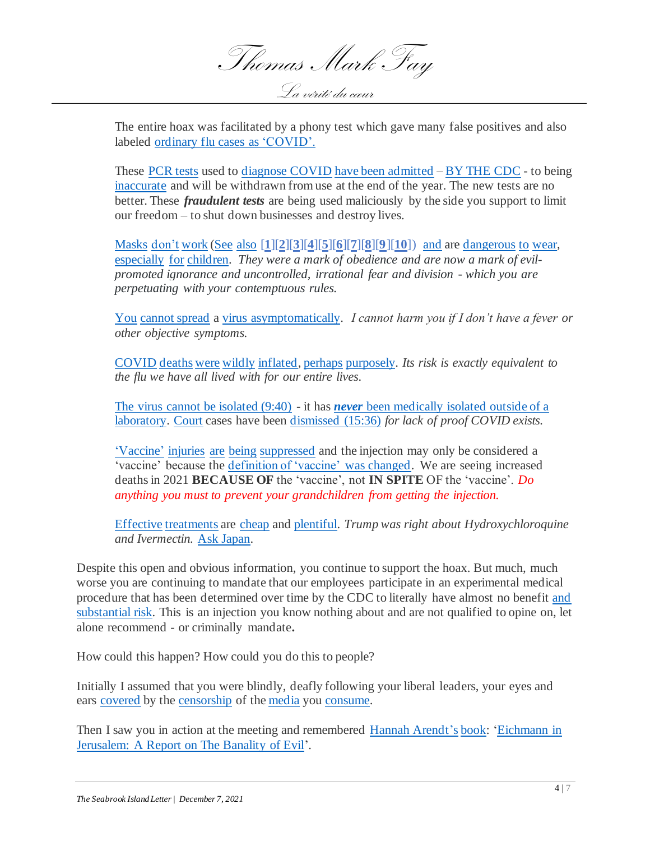

The entire hoax was facilitated by a phony test which gave many false positives and also labeled [ordinary flu cases as](https://www.theburningplatform.com/2020/10/26/where-did-the-flu-go-2/) 'COVID'.

These [PCR tests](https://standforhealthfreedom.com/wp-content/uploads/2021/01/The-Problems-With-PCR-Testing.pd) used to [diagnose COVID](https://www.brandnewtube.com/watch/flashback-pcr-test-creator-mullis-states-that-you-will-find-anything-in-anybody-with-the-pcr-test_78x9UkJLmSdWdGm.html) [have been admitted](https://www.brandnewtube.com/watch/stew-peters-with-dr-jane-ruby-new-evidence-about-pcr-tests-will-blow-your-mind-cdc-exposed_CjuxY6RxtYjGg7q.html) – [BY THE CDC](https://www.cdc.gov/csels/dls/locs/2021/07-21-2021-lab-alert-Changes_CDC_RT-PCR_SARS-CoV-2_Testing_1.html) - to being [inaccurate](https://beforeitsnews.com/politics/2020/10/attorney-fake-pcr-test-created-fake-covid-19-pandemic-3214034.html) and will be withdrawn from use at the end of the year. The new tests are no better. These *fraudulent tests* are being used maliciously by the side you support to limit our freedom – to shut down businesses and destroy lives.

[Masks](https://wwwnc.cdc.gov/eid/article/26/5/19-0994_article) [don't](https://www.ncbi.nlm.nih.gov/pmc/articles/PMC8072811/pdf/ijerph-18-04344.pdf#page37) [work](https://swprs.org/face-masks-and-covid-the-evidence/) [\(See](https://www.realclearpolitics.com/video/2021/07/27/montage_fauci_vs_fauci_on_mask-wearing.html) [also](https://www.technocracy.news/masks-are-neither-effective-nor-safe-a-summary-of-the-science/) [**[1](https://www.acpjournals.org/doi/10.7326/M20-6817)**][**[2](https://www.ecdc.europa.eu/sites/default/files/documents/covid-19-face-masks-community-first-update.pdf)**][**[3](https://www.cebm.net/covid-19/masking-lack-of-evidence-with-politics/)**][**[4](https://www.cochrane.org/CD006207/ARI_do-physical-measures-such-hand-washing-or-wearing-masks-stop-or-slow-down-spread-respiratory-viruses)**][**[5](https://escipub.com/irjph-2021-08-1005/)**][**[6](https://aip.scitation.org/doi/10.1063/5.0057100)**][**[7](https://www.cidrap.umn.edu/news-perspective/2020/04/commentary-masks-all-covid-19-not-based-sound-data)**][**8**[\]\[](https://www.nejm.org/doi/full/10.1056/NEJMp2006372)**9**[\]\[](https://bmjopen.bmj.com/content/5/4/e006577)**[10](https://www.thieme-connect.com/products/ejournals/html/10.1055/a-1174-6591)**]) [and](https://thetruthaboutmasks.com/) are [dangerous](https://www.ncbi.nlm.nih.gov/pmc/articles/PMC8072811/pdf/ijerph-18-04344.pdf#page37) [to](https://www.globalresearch.ca/medical-doctor-warns-bacterial-pneumonias-rise-mask-wearing) [wear,](https://nypost.com/2020/04/24/driver-crashes-car-after-passing-out-from-wearing-n95-mask/) [especially](https://principia-scientific.com/new-study-finds-covid-masks-harm-schoolchildrens-physical-mental-health/) [for](https://www.thatsmags.com/china/post/31100/student-deaths-lead-schools-to-adjust-rules-on-masks-while-exercising) [children.](https://pubmed.ncbi.nlm.nih.gov/20129889/) *They were a mark of obedience and are now a mark of evilpromoted ignorance and uncontrolled, irrational fear and division - which you are perpetuating with your contemptuous rules.*

[You](https://alicespringstomind.wordpress.com/2021/06/10/debunked-the-myth-of-asymptomatic-covid-transmission/) [cannot spread](https://stuartbramhall.wordpress.com/2021/03/09/study-of-10-million-finds-no-evidence-of-asymptomatic-covid-spread/) a [virus asymptomatically.](https://pubmed.ncbi.nlm.nih.gov/32513410/) *I cannot harm you if I don't have a fever or other objective symptoms.*

[COVID](https://www.weforum.org/agenda/2020/04/we-could-be-vastly-overestimating-the-death-rate-for-covid-19-heres-why/) [deaths](https://christianresearchnetwork.org/2021/11/05/italian-institute-of-health-drastically-reduces-its-official-covid-death-toll-number/) [were](https://thehill.com/opinion/healthcare/514915-is-us-covid-19-death-count-inflated) [wildly](https://www.westernjournal.com/right-experts-confirm-covid-deaths-massively-inflated-actual-numbers-dramatically-lower-official-count/) [inflated,](https://www.citizensjournal.us/inflated-reporting-of-covid-deaths-is-a-real-conspiracy/) [perhaps](https://nypost.com/2021/06/15/cuomo-nursing-home-order-caused-more-deaths-task-force/) [purposely.](https://www.nj.com/opinion/2020/05/murphy-administration-ignored-cdc-advice-and-sent-covid-19-patients-to-nursing-homes-mulshine.html) *Its risk is exactly equivalent to the flu we have all lived with for our entire lives.*

[The virus cannot be isolated \(9:40\)](https://www.youtube.com/watch?v=V2YZAnKeGmM) - it has *never* [been medically isolated outside of a](https://corona-ausschuss.de/en/documents/)  [laboratory.](https://corona-ausschuss.de/en/documents/) [Court](https://www.bitchute.com/video/yeRdDjGFTplh/) cases have been [dismissed \(15:36\)](https://www.youtube.com/watch?v=V2YZAnKeGmM) *for lack of proof COVID exists.*

['Vaccine'](https://citizenfreepress.com/column-2/whistleblower-nurse-majority-of-our-covid-patients-are-actually-suffering-from-vaccine-injuries/) [injuries](https://stuartbramhall.wordpress.com/2021/09/24/covid-19-vaccine-injuries-and-deaths-cover-up-nurse-whistleblowers-reveal-how-they-are-pressured-to-not-report-deaths-and-injuries-to-vaers/) [are](https://peckford42.wordpress.com/2021/09/28/australian-nurses-spill-the-beans-on-vaccine-injuries-and-deaths-does-anyone-think-this-is-all-lies-all-made-up/) [being](https://luke923evangelism.wordpress.com/2021/10/05/people-injured-by-covid-19-jab-share-their-horror-stories/) [suppressed](https://rumble.com/vkfz1v-the-vaccine-causes-the-virus-to-be-more-dangerous.html?s=08) and the injection may only be considered a 'vaccine' because the [definition of 'vaccine'](https://www.citizensjournal.us/the-cdc-suddenly-changes-the-definition-of-vaccine-and-vaccination/) was changed. We are seeing increased deaths in 2021 **BECAUSE OF** the 'vaccine', not **IN SPITE** OF the 'vaccine'. *Do anything you must to prevent your grandchildren from getting the injection.*

[Effective](https://pubmed.ncbi.nlm.nih.gov/33042552/) [treatments](https://pubmed.ncbi.nlm.nih.gov/33278625/) are [cheap](https://www.amazon.com/Ivermectin/s?k=Ivermectin) and [plentiful.](https://www.amazon.com/Quercetin-Seasonal-Supplements-Cardiovascular-Capsules/dp/B087YLTR4G) *Trump was right about Hydroxychloroquine and Ivermectin.* Ask [Japan.](https://stuartbramhall.wordpress.com/2021/10/31/japan-ends-vaccine-induced-pandemic-by-legalizing-ivermectin-while-pharma-controlled-media-pretends-masks-and-vaccines-were-the-savior/)

Despite this open and obvious information, you continue to support the hoax. But much, much worse you are continuing to mandate that our employees participate in an experimental medical procedure that has been determined over time by the CDC to literally have almost no benefit [and](https://beforeitsnews.com/alternative/2021/11/horrifying-compilation-of-athletes-reporters-patients-collapsing-passing-out-fainting-vaccine-to-blame-must-see-video-3762452.html) [substantial risk.](https://beforeitsnews.com/opinion-conservative/2021/11/powerful-david-icke-interview-they-are-purging-humanity-there-is-nothing-left-to-lose-alex-jones-banned-video-3607644.html) This is an injection you know nothing about and are not qualified to opine on, let alone recommend - or criminally mandate**.**

How could this happen? How could you do this to people?

Initially I assumed that you were blindly, deafly following your liberal leaders, your eyes and ears [covered](https://geopolitics.co/2021/08/09/how-media-fearmongering-led-to-unprecedented-censorship-of-scientific-research/) by the [censorship](https://web.stanford.edu/~dyang1/pdfs/1984bravenewworld_draft.pdf) of the [media](https://nypost.com/2021/09/06/federal-government-using-social-media-giants-to-censor-americans/) you [consume.](https://reclaimthenet.org/oxford-academics-slam-big-tech-censorship-of-scientific-study/)

Then I saw you in action at the meeting and remembered [Hannah Arendt's](https://plato.stanford.edu/entries/arendt/) [book:](https://www.litcharts.com/lit/eichmann-in-jerusalem/summary) ['Eichmann in](https://www.amazon.com/Eichmann-Jerusalem-Banality-Penguin-Classics/dp/0143039881)  [Jerusalem: A Report on The Banality of Evil'](https://www.amazon.com/Eichmann-Jerusalem-Banality-Penguin-Classics/dp/0143039881).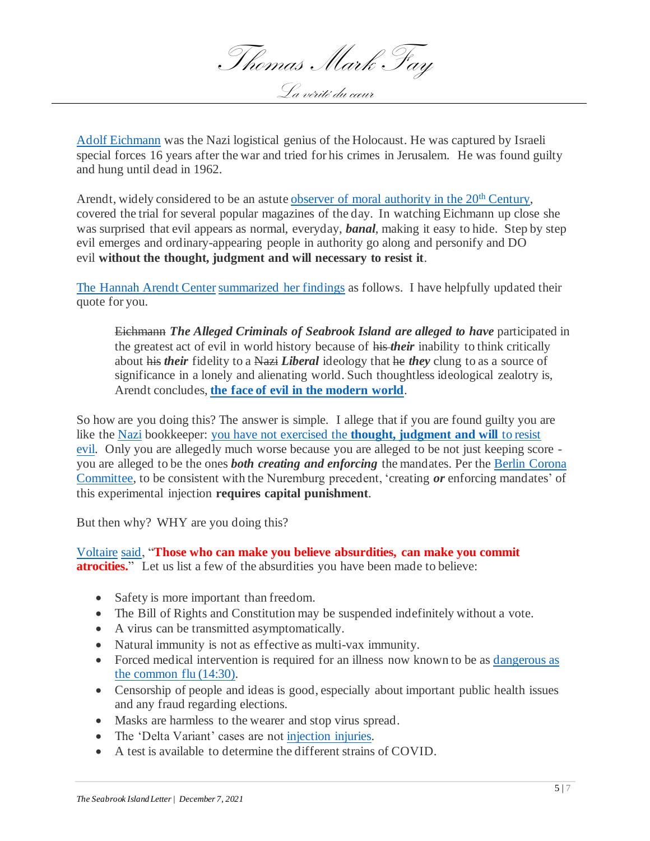Thomas Mark Fay La vérité du cœur

[Adolf Eichmann](https://en.wikipedia.org/wiki/Adolf_Eichmann) was the Nazi logistical genius of the Holocaust. He was captured by Israeli special forces 16 years after the war and tried for his crimes in Jerusalem. He was found guilty and hung until dead in 1962.

Arendt, widely considered to be an astute [observer of moral authority in the 20](https://medium.com/@johnwelford15/hannah-arendt-a-thinker-on-political-morality-942445e3e92c)<sup>th</sup> Century, covered the trial for several popular magazines of the day. In watching Eichmann up close she was surprised that evil appears as normal, everyday, *banal*, making it easy to hide. Step by step evil emerges and ordinary-appearing people in authority go along and personify and DO evil **without the thought, judgment and will necessary to resist it**.

[The Hannah Arendt Center](https://hannah-arendt.institute/wie-we-zijn/hannah-arendt-institute-in-short/) [summarized her findings](https://hac.bard.edu/about/hannaharendt/) as follows. I have helpfully updated their quote for you.

Eichmann *The Alleged Criminals of Seabrook Island are alleged to have* participated in the greatest act of evil in world history because of his *their* inability to think critically about his *their* fidelity to a Nazi *Liberal* ideology that he *they* clung to as a source of significance in a lonely and alienating world. Such thoughtless ideological zealotry is, Arendt concludes, **[the face of evil in the modern world](https://hac.bard.edu/about/hannaharendt/)**.

So how are you doing this? The answer is simple. I allege that if you are found guilty you are like th[e Nazi](https://www.bitchute.com/video/4jodmlCGe43l/) bookkeeper: you have not exercised the **[thought, judgment and will](https://www.bitchute.com/video/4jodmlCGe43l/)** to resist [evil.](https://www.bitchute.com/video/4jodmlCGe43l/) Only you are allegedly much worse because you are alleged to be not just keeping score you are alleged to be the ones *both creating and enforcing* the mandates. Per the Berlin [Corona](https://corona-ausschuss.de/en/)  [Committee,](https://corona-ausschuss.de/en/) to be consistent with the Nuremburg precedent, 'creating *or* enforcing mandates' of this experimental injection **requires capital punishment**.

But then why? WHY are you doing this?

[Voltaire](https://plato.stanford.edu/entries/voltaire/) [said,](https://www.goodreads.com/quotes/20527-those-who-can-make-you-believe-absurdities-can-make-you) "**Those who can make you believe absurdities, can make you commit atrocities.**" Let us list a few of the absurdities you have been made to believe:

- Safety is more important than freedom.
- The Bill of Rights and Constitution may be suspended indefinitely without a vote.
- A virus can be transmitted asymptomatically.
- Natural immunity is not as effective as multi-vax immunity.
- Forced medical intervention is required for an illness now known to be as dangerous as [the common flu \(14:30\).](https://www.youtube.com/watch?v=V2YZAnKeGmM)
- Censorship of people and ideas is good, especially about important public health issues and any fraud regarding elections.
- Masks are harmless to the wearer and stop virus spread.
- The 'Delta Variant' cases are not [injection injuries.](https://www.extremelyamerican.com/post/dr-robert-malone-on-bannon-war-room-vaccine-induced-ade-is-the-vaccinologist-s-worst-nightmare)
- A test is available to determine the different strains of COVID.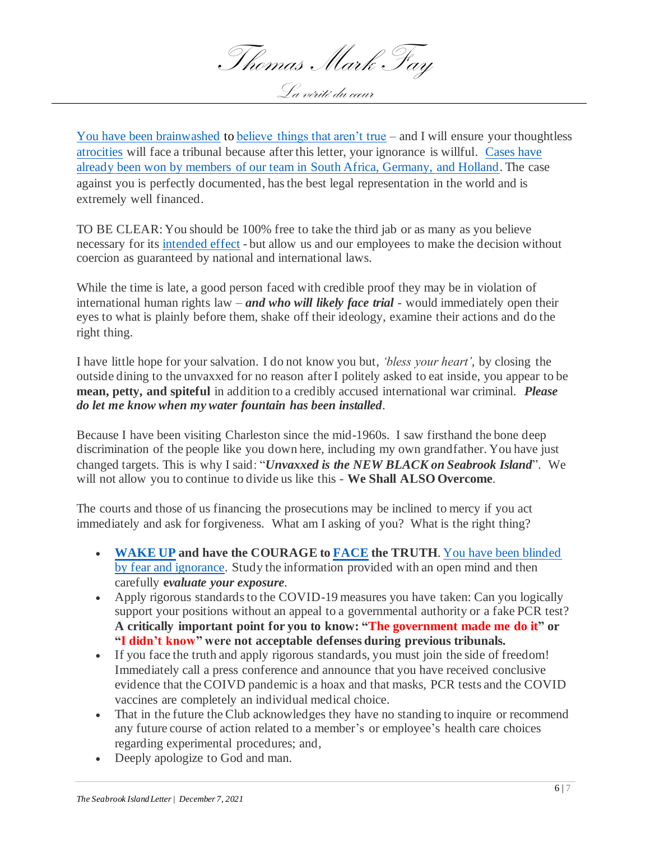Thomas Mark Fay La vérité du cœur

[You have been brainwashed](https://www.bitchute.com/video/vea4oV9dhJ9j/) to [believe things that aren't true](https://www.bitchute.com/video/4jodmlCGe43l/) – and I will ensure your thoughtless [atrocities](https://coronanews123.wordpress.com/2021/05/05/interview-with-holocaust-survivor-on-new-covid-medical-fascism/) will face a tribunal because after this letter, your ignorance is willful. [Cases have](https://www.europereloaded.com/latest-interview-with-dr-reiner-fuellmich-courts-of-law-follow-the-court-of-public-opinion/) [already been won by members of our team in South Africa, Germany,](https://www.europereloaded.com/latest-interview-with-dr-reiner-fuellmich-courts-of-law-follow-the-court-of-public-opinion/) and Holland. The case against you is perfectly documented, has the best legal representation in the world and is extremely well financed.

TO BE CLEAR: You should be 100% free to take the third jab or as many as you believe necessary for its [intended effect](https://x22report.com/aiovg_videos/dr-zelenko-we-are-living-through-a-global-bio-weapon-attack-people-have-the-cure-to-fight-it/) - but allow us and our employees to make the decision without coercion as guaranteed by national and international laws.

While the time is late, a good person faced with credible proof they may be in violation of international human rights law – *and who will likely face trial* - would immediately open their eyes to what is plainly before them, shake off their ideology, examine their actions and do the right thing.

I have little hope for your salvation. I do not know you but, *'bless your heart'*, by closing the outside dining to the unvaxxed for no reason after I politely asked to eat inside, you appear to be **mean, petty, and spiteful** in addition to a credibly accused international war criminal. *Please do let me know when my water fountain has been installed.*

Because I have been visiting Charleston since the mid-1960s. I saw firsthand the bone deep discrimination of the people like you down here, including my own grandfather. You have just changed targets. This is why I said: "*Unvaxxed is the NEW BLACK on Seabrook Island*". We will not allow you to continue to divide us like this - **We Shall ALSO Overcome**.

The courts and those of us financing the prosecutions may be inclined to mercy if you act immediately and ask for forgiveness. What am I asking of you? What is the right thing?

- **[WAKE UP](https://beforeitsnews.com/alternative/2021/11/juan-o-savin-freedom-update-and-disclosures-and-warnings-with-x22-sidney-powell-david-wilcock-video-3762005.html) and have the COURAGE t[o FACE](https://beforeitsnews.com/international/2021/10/the-psychology-of-totalitarianism-with-professor-mattias-desmet-dr-reiner-fuellmich-and-dr-wolfgang-wodarg-2506905.html) the TRUTH**. [You have been blinded](https://www.bitchute.com/video/vea4oV9dhJ9j/)  [by fear and ignorance.](https://www.bitchute.com/video/vea4oV9dhJ9j/) Study the information provided with an open mind and then carefully **e***valuate your exposure.*
- Apply rigorous standards to the COVID-19 measures you have taken: Can you logically support your positions without an appeal to a governmental authority or a fake PCR test? **A critically important point for you to know: "The government made me do it" or "I didn't know" were not acceptable defenses during previous tribunals.**
- If you face the truth and apply rigorous standards, you must join the side of freedom! Immediately call a press conference and announce that you have received conclusive evidence that the COIVD pandemic is a hoax and that masks, PCR tests and the COVID vaccines are completely an individual medical choice.
- That in the future the Club acknowledges they have no standing to inquire or recommend any future course of action related to a member's or employee's health care choices regarding experimental procedures; and,
- Deeply apologize to God and man.